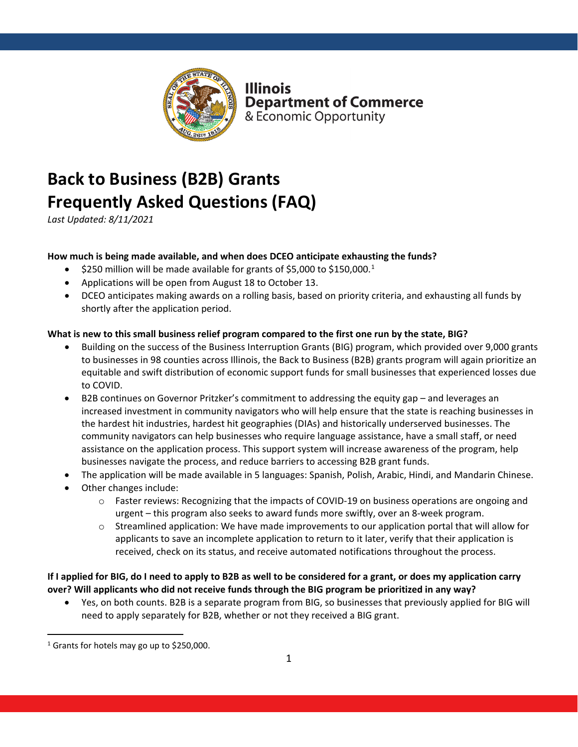

**Illinois Department of Commerce** & Economic Opportunity

# **Back to Business (B2B) Grants Frequently Asked Questions (FAQ)**

*Last Updated: 8/11/2021*

# **How much is being made available, and when does DCEO anticipate exhausting the funds?**

- $\bullet$  \$250 million will be made available for grants of \$5,000 to \$[1](#page-0-0)50,000.<sup>1</sup>
- Applications will be open from August 18 to October 13.
- DCEO anticipates making awards on a rolling basis, based on priority criteria, and exhausting all funds by shortly after the application period.

# **What is new to this small business relief program compared to the first one run by the state, BIG?**

- Building on the success of the Business Interruption Grants (BIG) program, which provided over 9,000 grants to businesses in 98 counties across Illinois, the Back to Business (B2B) grants program will again prioritize an equitable and swift distribution of economic support funds for small businesses that experienced losses due to COVID.
- B2B continues on Governor Pritzker's commitment to addressing the equity gap and leverages an increased investment in community navigators who will help ensure that the state is reaching businesses in the hardest hit industries, hardest hit geographies (DIAs) and historically underserved businesses. The community navigators can help businesses who require language assistance, have a small staff, or need assistance on the application process. This support system will increase awareness of the program, help businesses navigate the process, and reduce barriers to accessing B2B grant funds.
- The application will be made available in 5 languages: Spanish, Polish, Arabic, Hindi, and Mandarin Chinese.
- Other changes include:
	- o Faster reviews: Recognizing that the impacts of COVID-19 on business operations are ongoing and urgent – this program also seeks to award funds more swiftly, over an 8-week program.
	- $\circ$  Streamlined application: We have made improvements to our application portal that will allow for applicants to save an incomplete application to return to it later, verify that their application is received, check on its status, and receive automated notifications throughout the process.

**If I applied for BIG, do I need to apply to B2B as well to be considered for a grant, or does my application carry over? Will applicants who did not receive funds through the BIG program be prioritized in any way?**

• Yes, on both counts. B2B is a separate program from BIG, so businesses that previously applied for BIG will need to apply separately for B2B, whether or not they received a BIG grant.

<span id="page-0-0"></span> $1$  Grants for hotels may go up to \$250,000.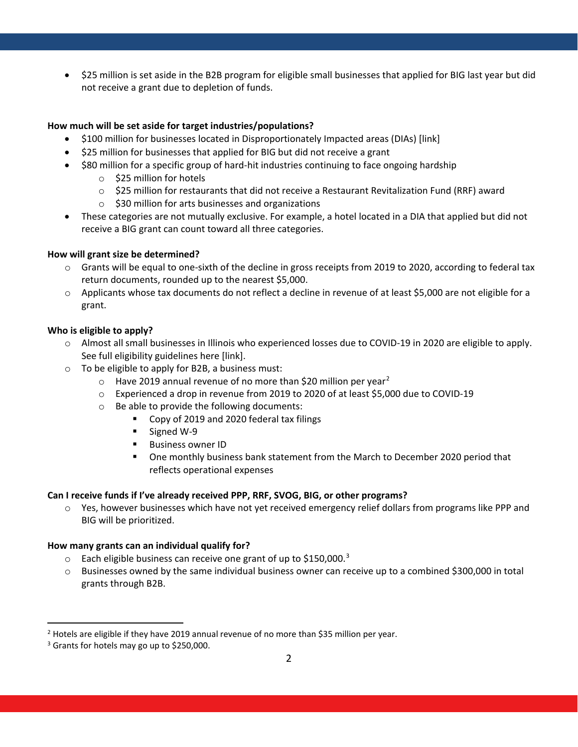• \$25 million is set aside in the B2B program for eligible small businesses that applied for BIG last year but did not receive a grant due to depletion of funds.

# **How much will be set aside for target industries/populations?**

- \$100 million for businesses located in Disproportionately Impacted areas (DIAs) [link]
- \$25 million for businesses that applied for BIG but did not receive a grant
- \$80 million for a specific group of hard-hit industries continuing to face ongoing hardship
	- o \$25 million for hotels
	- $\circ$  \$25 million for restaurants that did not receive a Restaurant Revitalization Fund (RRF) award
	- $\circ$  \$30 million for arts businesses and organizations
- These categories are not mutually exclusive. For example, a hotel located in a DIA that applied but did not receive a BIG grant can count toward all three categories.

# **How will grant size be determined?**

- o Grants will be equal to one-sixth of the decline in gross receipts from 2019 to 2020, according to federal tax return documents, rounded up to the nearest \$5,000.
- o Applicants whose tax documents do not reflect a decline in revenue of at least \$5,000 are not eligible for a grant.

# **Who is eligible to apply?**

- o Almost all small businesses in Illinois who experienced losses due to COVID-19 in 2020 are eligible to apply. See full eligibility guidelines here [link].
- o To be eligible to apply for B2B, a business must:
	- $\circ$  Have [2](#page-1-0)019 annual revenue of no more than \$20 million per year<sup>2</sup>
	- o Experienced a drop in revenue from 2019 to 2020 of at least \$5,000 due to COVID-19
	- o Be able to provide the following documents:
		- Copy of 2019 and 2020 federal tax filings
		- Signed W-9
		- **Business owner ID**
		- One monthly business bank statement from the March to December 2020 period that reflects operational expenses

# **Can I receive funds if I've already received PPP, RRF, SVOG, BIG, or other programs?**

o Yes, however businesses which have not yet received emergency relief dollars from programs like PPP and BIG will be prioritized.

# **How many grants can an individual qualify for?**

- $\degree$  Each eligible business can receive one grant of up to \$150,000.<sup>[3](#page-1-1)</sup>
- o Businesses owned by the same individual business owner can receive up to a combined \$300,000 in total grants through B2B.

<span id="page-1-0"></span><sup>&</sup>lt;sup>2</sup> Hotels are eligible if they have 2019 annual revenue of no more than \$35 million per year.

<span id="page-1-1"></span> $3$  Grants for hotels may go up to \$250,000.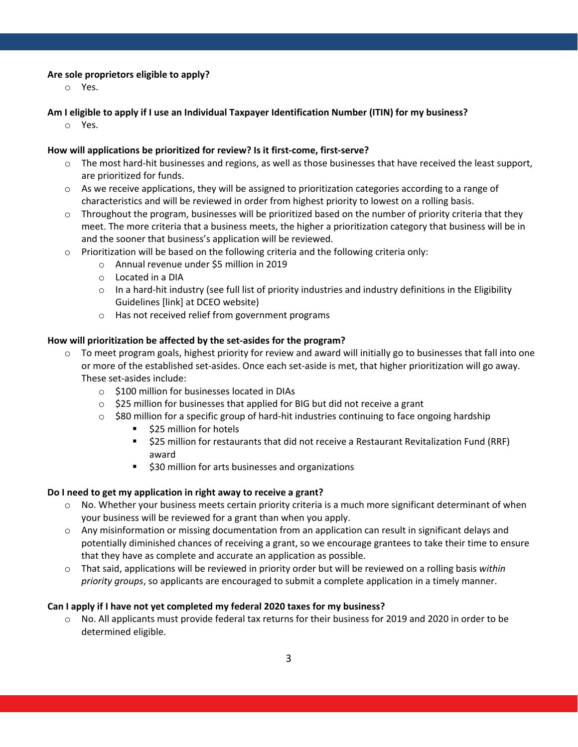#### **Are sole proprietors eligible to apply?**

o Yes.

# **Am I eligible to apply if I use an Individual Taxpayer Identification Number (ITIN) for my business?**

o Yes.

# **How will applications be prioritized for review? Is it first-come, first-serve?**

- o The most hard-hit businesses and regions, as well as those businesses that have received the least support, are prioritized for funds.
- $\circ$  As we receive applications, they will be assigned to prioritization categories according to a range of characteristics and will be reviewed in order from highest priority to lowest on a rolling basis.
- $\circ$  Throughout the program, businesses will be prioritized based on the number of priority criteria that they meet. The more criteria that a business meets, the higher a prioritization category that business will be in and the sooner that business's application will be reviewed.
- $\circ$  Prioritization will be based on the following criteria and the following criteria only:
	- o Annual revenue under \$5 million in 2019
	- o Located in a DIA
	- $\circ$  In a hard-hit industry (see full list of priority industries and industry definitions in the Eligibility Guidelines [link] at DCEO website)
	- o Has not received relief from government programs

#### **How will prioritization be affected by the set-asides for the program?**

- $\circ$  To meet program goals, highest priority for review and award will initially go to businesses that fall into one or more of the established set-asides. Once each set-aside is met, that higher prioritization will go away. These set-asides include:
	- o \$100 million for businesses located in DIAs
	- o \$25 million for businesses that applied for BIG but did not receive a grant
	- $\circ$  \$80 million for a specific group of hard-hit industries continuing to face ongoing hardship
		- **525 million for hotels**
		- **525 million for restaurants that did not receive a Restaurant Revitalization Fund (RRF)** award
		- \$30 million for arts businesses and organizations

#### **Do I need to get my application in right away to receive a grant?**

- $\circ$  No. Whether your business meets certain priority criteria is a much more significant determinant of when your business will be reviewed for a grant than when you apply.
- o Any misinformation or missing documentation from an application can result in significant delays and potentially diminished chances of receiving a grant, so we encourage grantees to take their time to ensure that they have as complete and accurate an application as possible.
- o That said, applications will be reviewed in priority order but will be reviewed on a rolling basis *within priority groups*, so applicants are encouraged to submit a complete application in a timely manner.

#### **Can I apply if I have not yet completed my federal 2020 taxes for my business?**

o No. All applicants must provide federal tax returns for their business for 2019 and 2020 in order to be determined eligible.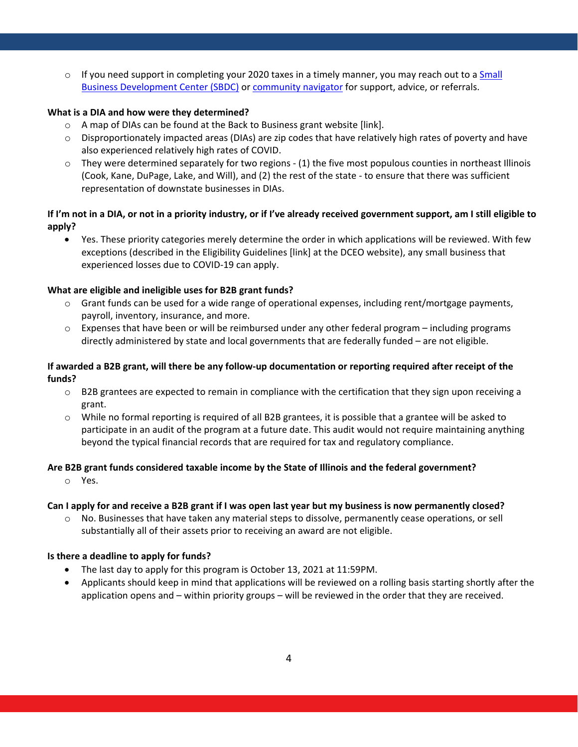$\circ$  If you need support in completing your 2020 taxes in a timely manner, you may reach out to a [Small](https://www2.illinois.gov/dceo/SmallBizAssistance/BeginHere/pages/sbdc.aspx) [Business Development Center \(SBDC\)](https://www2.illinois.gov/dceo/SmallBizAssistance/BeginHere/pages/sbdc.aspx) or [community navigator](https://www2.illinois.gov/dceo/AboutDCEO/GrantOpportunities/Pages/CommunityNavigator.aspx) for support, advice, or referrals.

#### **What is a DIA and how were they determined?**

- o A map of DIAs can be found at the Back to Business grant website [link].
- o Disproportionately impacted areas (DIAs) are zip codes that have relatively high rates of poverty and have also experienced relatively high rates of COVID.
- o They were determined separately for two regions (1) the five most populous counties in northeast Illinois (Cook, Kane, DuPage, Lake, and Will), and (2) the rest of the state - to ensure that there was sufficient representation of downstate businesses in DIAs.

# **If I'm not in a DIA, or not in a priority industry, or if I've already received government support, am I still eligible to apply?**

• Yes. These priority categories merely determine the order in which applications will be reviewed. With few exceptions (described in the Eligibility Guidelines [link] at the DCEO website), any small business that experienced losses due to COVID-19 can apply.

# **What are eligible and ineligible uses for B2B grant funds?**

- $\circ$  Grant funds can be used for a wide range of operational expenses, including rent/mortgage payments, payroll, inventory, insurance, and more.
- $\circ$  Expenses that have been or will be reimbursed under any other federal program including programs directly administered by state and local governments that are federally funded – are not eligible.

# **If awarded a B2B grant, will there be any follow-up documentation or reporting required after receipt of the funds?**

- o B2B grantees are expected to remain in compliance with the certification that they sign upon receiving a grant.
- $\circ$  While no formal reporting is required of all B2B grantees, it is possible that a grantee will be asked to participate in an audit of the program at a future date. This audit would not require maintaining anything beyond the typical financial records that are required for tax and regulatory compliance.

# **Are B2B grant funds considered taxable income by the State of Illinois and the federal government?**

o Yes.

# **Can I apply for and receive a B2B grant if I was open last year but my business is now permanently closed?**

o No. Businesses that have taken any material steps to dissolve, permanently cease operations, or sell substantially all of their assets prior to receiving an award are not eligible.

# **Is there a deadline to apply for funds?**

- The last day to apply for this program is October 13, 2021 at 11:59PM.
- Applicants should keep in mind that applications will be reviewed on a rolling basis starting shortly after the application opens and – within priority groups – will be reviewed in the order that they are received.